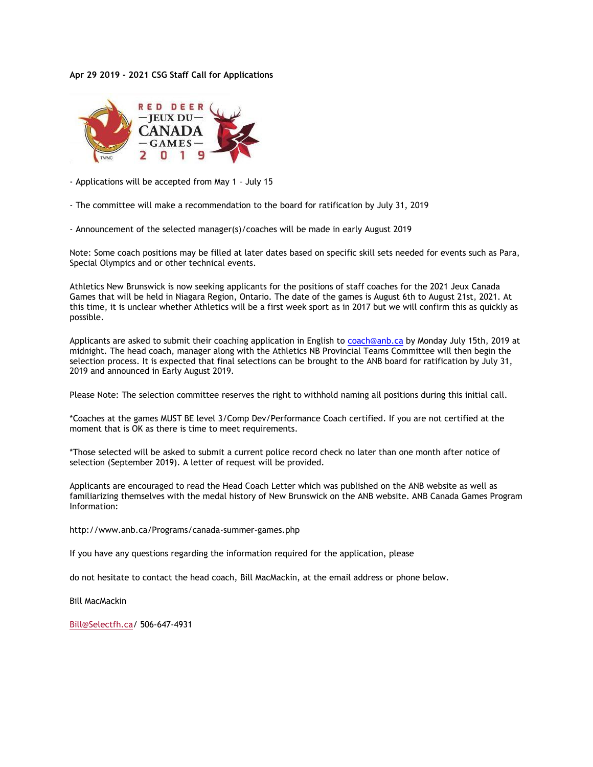## **Apr 29 2019 - 2021 CSG Staff Call for Applications**



- Applications will be accepted from May 1 – July 15

- The committee will make a recommendation to the board for ratification by July 31, 2019

- Announcement of the selected manager(s)/coaches will be made in early August 2019

Note: Some coach positions may be filled at later dates based on specific skill sets needed for events such as Para, Special Olympics and or other technical events.

Athletics New Brunswick is now seeking applicants for the positions of staff coaches for the 2021 Jeux Canada Games that will be held in Niagara Region, Ontario. The date of the games is August 6th to August 21st, 2021. At this time, it is unclear whether Athletics will be a first week sport as in 2017 but we will confirm this as quickly as possible.

Applicants are asked to submit their coaching application in English to **coach@anb.ca** by Monday July 15th, 2019 at midnight. The head coach, manager along with the Athletics NB Provincial Teams Committee will then begin the selection process. It is expected that final selections can be brought to the ANB board for ratification by July 31, 2019 and announced in Early August 2019.

Please Note: The selection committee reserves the right to withhold naming all positions during this initial call.

\*Coaches at the games MUST BE level 3/Comp Dev/Performance Coach certified. If you are not certified at the moment that is OK as there is time to meet requirements.

\*Those selected will be asked to submit a current police record check no later than one month after notice of selection (September 2019). A letter of request will be provided.

Applicants are encouraged to read the Head Coach Letter which was published on the ANB website as well as familiarizing themselves with the medal history of New Brunswick on the ANB website. ANB Canada Games Program Information:

http://www.anb.ca/Programs/canada-summer-games.php

If you have any questions regarding the information required for the application, please

do not hesitate to contact the head coach, Bill MacMackin, at the email address or phone below.

Bill MacMackin

[Bill@Selectfh.ca/](mailto:Bill@Selectfh.ca) 506-647-4931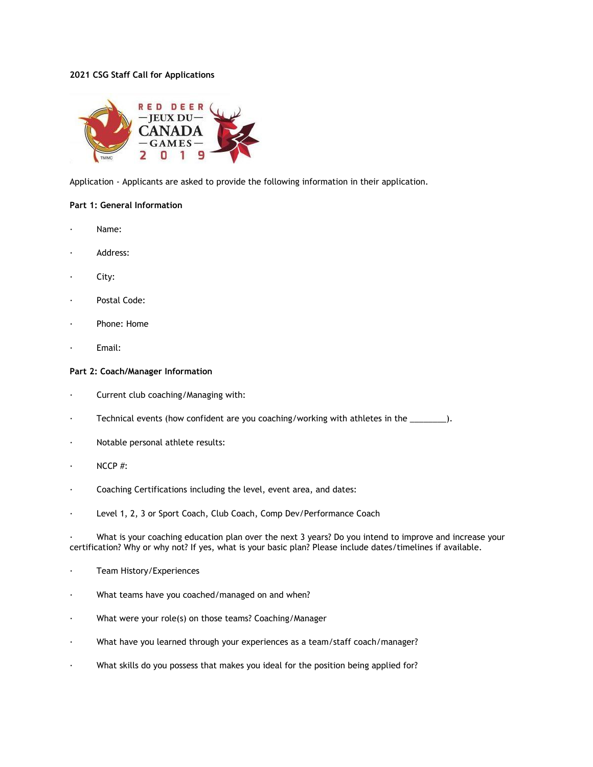# **2021 CSG Staff Call for Applications**



Application - Applicants are asked to provide the following information in their application.

## **Part 1: General Information**

- Name:
- Address:
- City:
- Postal Code:
- Phone: Home
- Email:

## **Part 2: Coach/Manager Information**

- · Current club coaching/Managing with:
- · Technical events (how confident are you coaching/working with athletes in the \_\_\_\_\_\_\_\_).
- · Notable personal athlete results:
- $NCCP$ #:
- Coaching Certifications including the level, event area, and dates:
- · Level 1, 2, 3 or Sport Coach, Club Coach, Comp Dev/Performance Coach

What is your coaching education plan over the next 3 years? Do you intend to improve and increase your certification? Why or why not? If yes, what is your basic plan? Please include dates/timelines if available.

- Team History/Experiences
- · What teams have you coached/managed on and when?
- · What were your role(s) on those teams? Coaching/Manager
- · What have you learned through your experiences as a team/staff coach/manager?
- · What skills do you possess that makes you ideal for the position being applied for?